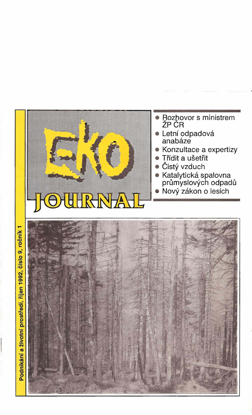

- Rozhovor s ministrem<br>ŽP ČR
- · Letní odpadová<br>anabáze
- Konzultace a expertizy
- Třídit a ušetřit
- Čistý vzduch
- Katalytická spalovna<br>průmyslových odpadů<br>● Nový zákon o lesích
-